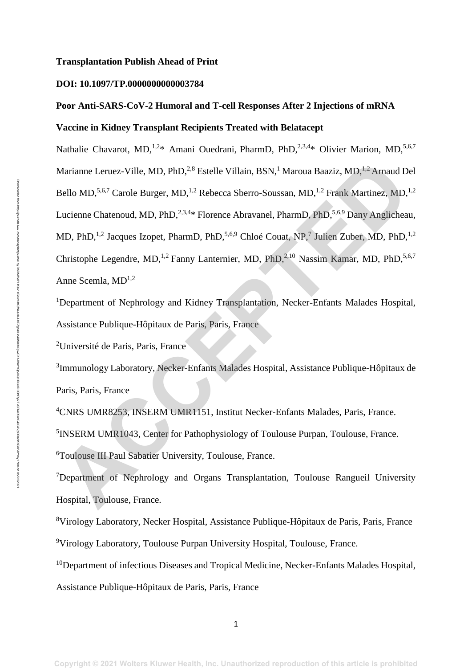#### **Transplantation Publish Ahead of Print**

#### **DOI: 10.1097/TP.0000000000003784**

# **Poor Anti-SARS-CoV-2 Humoral and T-cell Responses After 2 Injections of mRNA Vaccine in Kidney Transplant Recipients Treated with Belatacept**

Nathalie Chavarot, MD,<sup>1,2\*</sup> Amani Ouedrani, PharmD, PhD,<sup>2,3,4\*</sup> Olivier Marion, MD,<sup>5,6,7</sup> Marianne Leruez-Ville, MD, PhD,<sup>2,8</sup> Estelle Villain, BSN,<sup>1</sup> Maroua Baaziz, MD,<sup>1,2</sup> Arnaud Del Bello MD,<sup>5,6,7</sup> Carole Burger, MD,<sup>1,2</sup> Rebecca Sberro-Soussan, MD,<sup>1,2</sup> Frank Martinez, MD,<sup>1,2</sup> Lucienne Chatenoud, MD, PhD, <sup>2,3,4\*</sup> Florence Abravanel, PharmD, PhD, <sup>5,6,9</sup> Dany Anglicheau, MD, PhD,<sup>1,2</sup> Jacques Izopet, PharmD, PhD,<sup>5,6,9</sup> Chloé Couat, NP,<sup>7</sup> Julien Zuber, MD, PhD,<sup>1,2</sup> Christophe Legendre, MD,<sup>1,2</sup> Fanny Lanternier, MD, PhD,<sup>2,10</sup> Nassim Kamar, MD, PhD,<sup>5,6,7</sup> Anne Scemla, MD<sup>1,2</sup> Marianne Leruez-Ville, MD, PhD,<sup>2,8</sup> Estelle Villain, BSN,<sup>1</sup> Maroua Baaziz, MD,<sup>1,2</sup> Arnaud D<br>Bello MD,<sup>5,6,7</sup> Carole Burger, MD,<sup>1,2</sup> Rebecca Sberro-Soussan, MD,<sup>1,2</sup> Frank Martinez, MD,<br>Lucienne Chatenoud, MD, PhD,<sup>2,14</sup>

<sup>1</sup>Department of Nephrology and Kidney Transplantation, Necker-Enfants Malades Hospital, Assistance Publique-Hôpitaux de Paris, Paris, France

<sup>2</sup>Université de Paris, Paris, France

<sup>3</sup>Immunology Laboratory, Necker-Enfants Malades Hospital, Assistance Publique-Hôpitaux de Paris, Paris, France

<sup>4</sup>CNRS UMR8253, INSERM UMR1151, Institut Necker-Enfants Malades, Paris, France. <sup>5</sup>INSERM UMR1043, Center for Pathophysiology of Toulouse Purpan, Toulouse, France. <sup>6</sup>Toulouse III Paul Sabatier University, Toulouse, France.

<sup>7</sup>Department of Nephrology and Organs Transplantation, Toulouse Rangueil University Hospital, Toulouse, France.

<sup>8</sup>Virology Laboratory, Necker Hospital, Assistance Publique-Hôpitaux de Paris, Paris, France <sup>9</sup>Virology Laboratory, Toulouse Purpan University Hospital, Toulouse, France.

<sup>10</sup>Department of infectious Diseases and Tropical Medicine, Necker-Enfants Malades Hospital, Assistance Publique-Hôpitaux de Paris, Paris, France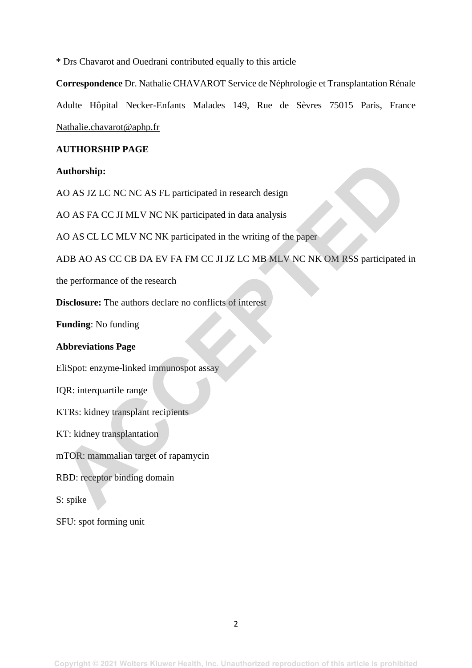\* Drs Chavarot and Ouedrani contributed equally to this article

**Correspondence** Dr. Nathalie CHAVAROT Service de Néphrologie et Transplantation Rénale Adulte Hôpital Necker-Enfants Malades 149, Rue de Sèvres 75015 Paris, France [Nathalie.chavarot@aphp.fr](mailto:Nathalie.chavarot@aphp.fr)

## **AUTHORSHIP PAGE**

# **Authorship:**

AO AS JZ LC NC NC AS FL participated in research design

AO AS FA CC JI MLV NC NK participated in data analysis

AO AS CL LC MLV NC NK participated in the writing of the paper

ADB AO AS CC CB DA EV FA FM CC JI JZ LC MB MLV NC NK OM RSS participated in **Authorship:**<br>
AO AS FA CC JI MLV NC NK participated in research design<br>
AO AS FA CC JI MLV NC NK participated in data analysis<br>
AO AS CL LC MLV NC NK participated in the writing of the paper<br>
ADB AO AS CC CB DA EV FA FM C

the performance of the research

**Disclosure:** The authors declare no conflicts of interest

**Funding**: No funding

## **Abbreviations Page**

EliSpot: enzyme-linked immunospot assay

IQR: interquartile range

KTRs: kidney transplant recipients

KT: kidney transplantation

mTOR: mammalian target of rapamycin

RBD: receptor binding domain

S: spike

SFU: spot forming unit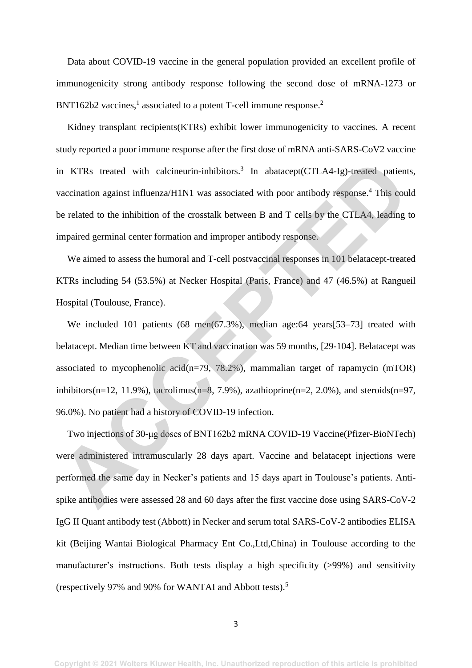Data about COVID-19 vaccine in the general population provided an excellent profile of immunogenicity strong antibody response following the second dose of mRNA-1273 or  $BNT162b2$  vaccines,<sup>1</sup> associated to a potent T-cell immune response.<sup>2</sup>

Kidney transplant recipients(KTRs) exhibit lower immunogenicity to vaccines. A recent study reported a poor immune response after the first dose of mRNA anti-SARS-CoV2 vaccine in KTRs treated with calcineurin-inhibitors.<sup>3</sup> In abatacept(CTLA4-Ig)-treated patients, vaccination against influenza/H1N1 was associated with poor antibody response.<sup>4</sup> This could be related to the inhibition of the crosstalk between B and T cells by the CTLA4, leading to impaired germinal center formation and improper antibody response.

We aimed to assess the humoral and T-cell postvaccinal responses in 101 belatacept-treated KTRs including 54 (53.5%) at Necker Hospital (Paris, France) and 47 (46.5%) at Rangueil Hospital (Toulouse, France).

We included 101 patients (68 men(67.3%), median age:64 years[53-73] treated with belatacept. Median time between KT and vaccination was 59 months, [29-104]. Belatacept was associated to mycophenolic acid(n=79, 78.2%), mammalian target of rapamycin (mTOR) inhibitors(n=12, 11.9%), tacrolimus(n=8, 7.9%), azathioprine(n=2, 2.0%), and steroids(n=97, 96.0%). No patient had a history of COVID-19 infection. in KTRs treated with calcineurin-inhibitors.<sup>3</sup> In abatacept(CTLA4-1g)-treated patient<br>vaccination against influenza/HIN1 was associated with poor antibody response.<sup>4</sup> This cours<br>be related to the inhibition of the crosst

Two injections of 30-μg doses of BNT162b2 mRNA COVID-19 Vaccine(Pfizer-BioNTech) were administered intramuscularly 28 days apart. Vaccine and belatacept injections were performed the same day in Necker's patients and 15 days apart in Toulouse's patients. Antispike antibodies were assessed 28 and 60 days after the first vaccine dose using SARS-CoV-2 IgG II Quant antibody test (Abbott) in Necker and serum total SARS-CoV-2 antibodies ELISA kit (Beijing Wantai Biological Pharmacy Ent Co.,Ltd,China) in Toulouse according to the manufacturer's instructions. Both tests display a high specificity (>99%) and sensitivity (respectively 97% and 90% for WANTAI and Abbott tests).<sup>5</sup>

3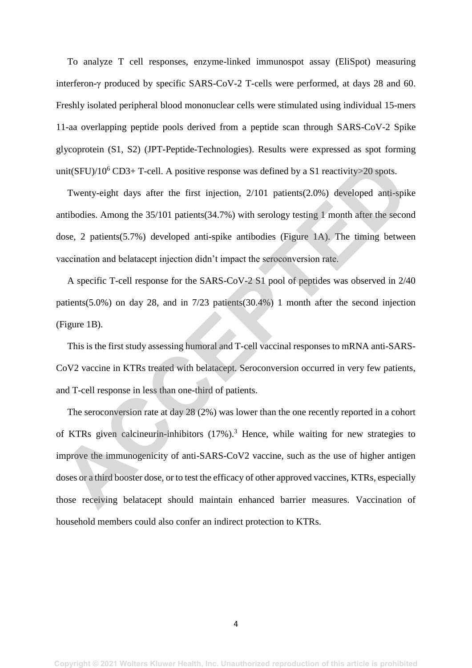To analyze T cell responses, enzyme-linked immunospot assay (EliSpot) measuring interferon-γ produced by specific SARS-CoV-2 T-cells were performed, at days 28 and 60. Freshly isolated peripheral blood mononuclear cells were stimulated using individual 15-mers 11-aa overlapping peptide pools derived from a peptide scan through SARS-CoV-2 Spike glycoprotein (S1, S2) (JPT-Peptide-Technologies). Results were expressed as spot forming unit(SFU)/ $10^6$  CD3+ T-cell. A positive response was defined by a S1 reactivity>20 spots.

Twenty-eight days after the first injection, 2/101 patients(2.0%) developed anti-spike antibodies. Among the 35/101 patients(34.7%) with serology testing 1 month after the second dose, 2 patients(5.7%) developed anti-spike antibodies (Figure 1A). The timing between vaccination and belatacept injection didn't impact the seroconversion rate.

A specific T-cell response for the SARS-CoV-2 S1 pool of peptides was observed in 2/40 patients(5.0%) on day 28, and in 7/23 patients(30.4%) 1 month after the second injection (Figure 1B).

This is the first study assessing humoral and T-cell vaccinal responses to mRNA anti-SARS-CoV2 vaccine in KTRs treated with belatacept. Seroconversion occurred in very few patients, and T-cell response in less than one-third of patients.

The seroconversion rate at day 28 (2%) was lower than the one recently reported in a cohort of KTRs given calcineurin-inhibitors  $(17\%)$ .<sup>3</sup> Hence, while waiting for new strategies to improve the immunogenicity of anti-SARS-CoV2 vaccine, such as the use of higher antigen doses or a third booster dose, or to test the efficacy of other approved vaccines, KTRs, especially those receiving belatacept should maintain enhanced barrier measures. Vaccination of household members could also confer an indirect protection to KTRs. unit(SFU)/10<sup>6</sup> CD3+ T-cell. A positive response was defined by a S1 reactivity>20 spots.<br>
Twenty-eight days after the first injection, 2/101 patients(2.0%) developed anti-spike<br>
Artibulations. Among the 35/101 patients(34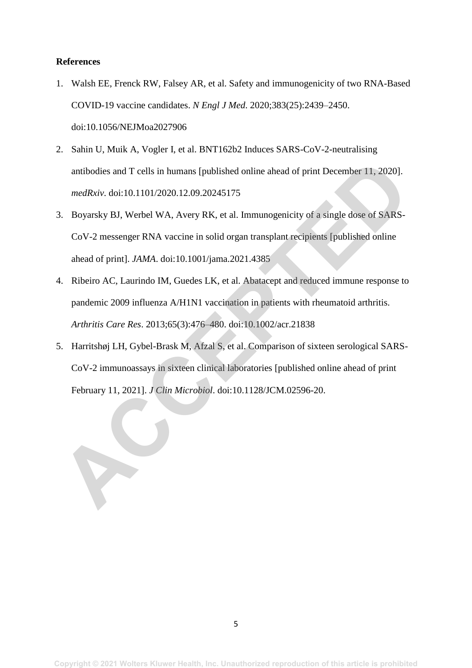## **References**

- 1. Walsh EE, Frenck RW, Falsey AR, et al. Safety and immunogenicity of two RNA-Based COVID-19 vaccine candidates. *N Engl J Med*. 2020;383(25):2439–2450. doi:10.1056/NEJMoa2027906
- 2. Sahin U, Muik A, Vogler I, et al. BNT162b2 Induces SARS-CoV-2-neutralising antibodies and T cells in humans [published online ahead of print December 11, 2020]. *medRxiv*. doi:10.1101/2020.12.09.20245175
- 3. Boyarsky BJ, Werbel WA, Avery RK, et al. Immunogenicity of a single dose of SARS-CoV-2 messenger RNA vaccine in solid organ transplant recipients [published online ahead of print]. *JAMA*. doi:10.1001/jama.2021.4385
- 4. Ribeiro AC, Laurindo IM, Guedes LK, et al. Abatacept and reduced immune response to pandemic 2009 influenza A/H1N1 vaccination in patients with rheumatoid arthritis. *Arthritis Care Res*. 2013;65(3):476–480. doi:10.1002/acr.21838
- 5. Harritshøj LH, Gybel-Brask M, Afzal S, et al. Comparison of sixteen serological SARS-CoV-2 immunoassays in sixteen clinical laboratories [published online ahead of print February 11, 2021]. *J Clin Microbiol*. doi:10.1128/JCM.02596-20. antibodies and T cells in humans [published online ahead of print December 11, 2020].<br> *medRxiv.* doi:10.1101/2020.12.09.20245175<br> **B.** Boyarsky BJ, Werbel WA, Avery RK, et al. Immunogenicity of a single dose of SARS-CoV-2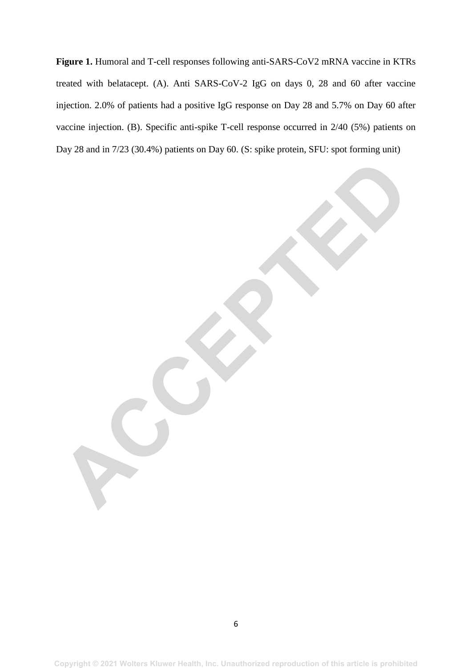**Figure 1.** Humoral and T-cell responses following anti-SARS-CoV2 mRNA vaccine in KTRs treated with belatacept. (A). Anti SARS-CoV-2 IgG on days 0, 28 and 60 after vaccine injection. 2.0% of patients had a positive IgG response on Day 28 and 5.7% on Day 60 after vaccine injection. (B). Specific anti-spike T-cell response occurred in 2/40 (5%) patients on Day 28 and in 7/23 (30.4%) patients on Day 60. (S: spike protein, SFU: spot forming unit)

**ACCEPTED**